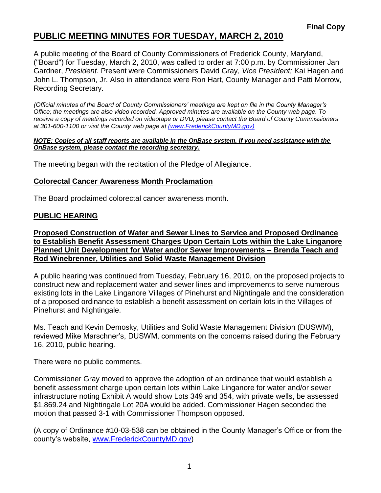# **PUBLIC MEETING MINUTES FOR TUESDAY, MARCH 2, 2010**

A public meeting of the Board of County Commissioners of Frederick County, Maryland, ("Board") for Tuesday, March 2, 2010, was called to order at 7:00 p.m. by Commissioner Jan Gardner, *President*. Present were Commissioners David Gray, *Vice President;* Kai Hagen and John L. Thompson, Jr. Also in attendance were Ron Hart, County Manager and Patti Morrow, Recording Secretary.

*(Official minutes of the Board of County Commissioners' meetings are kept on file in the County Manager's Office; the meetings are also video recorded. Approved minutes are available on the County web page. To receive a copy of meetings recorded on videotape or DVD, please contact the Board of County Commissioners at 301-600-1100 or visit the County web page at [\(www.FrederickCountyMD.gov\)](file:\\NT1S5\BOCC\BOCC\BOCC%20Minutes\Patti)*

#### *NOTE: Copies of all staff reports are available in the OnBase system. If you need assistance with the OnBase system, please contact the recording secretary.*

The meeting began with the recitation of the Pledge of Allegiance.

### **Colorectal Cancer Awareness Month Proclamation**

The Board proclaimed colorectal cancer awareness month.

### **PUBLIC HEARING**

**Proposed Construction of Water and Sewer Lines to Service and Proposed Ordinance to Establish Benefit Assessment Charges Upon Certain Lots within the Lake Linganore Planned Unit Development for Water and/or Sewer Improvements – Brenda Teach and Rod Winebrenner, Utilities and Solid Waste Management Division**

A public hearing was continued from Tuesday, February 16, 2010, on the proposed projects to construct new and replacement water and sewer lines and improvements to serve numerous existing lots in the Lake Linganore Villages of Pinehurst and Nightingale and the consideration of a proposed ordinance to establish a benefit assessment on certain lots in the Villages of Pinehurst and Nightingale.

Ms. Teach and Kevin Demosky, Utilities and Solid Waste Management Division (DUSWM), reviewed Mike Marschner's, DUSWM, comments on the concerns raised during the February 16, 2010, public hearing.

There were no public comments.

Commissioner Gray moved to approve the adoption of an ordinance that would establish a benefit assessment charge upon certain lots within Lake Linganore for water and/or sewer infrastructure noting Exhibit A would show Lots 349 and 354, with private wells, be assessed \$1,869.24 and Nightingale Lot 20A would be added. Commissioner Hagen seconded the motion that passed 3-1 with Commissioner Thompson opposed.

(A copy of Ordinance #10-03-538 can be obtained in the County Manager's Office or from the county's website, [www.FrederickCountyMD.gov\)](http://www.frederickcountymd.gov/)